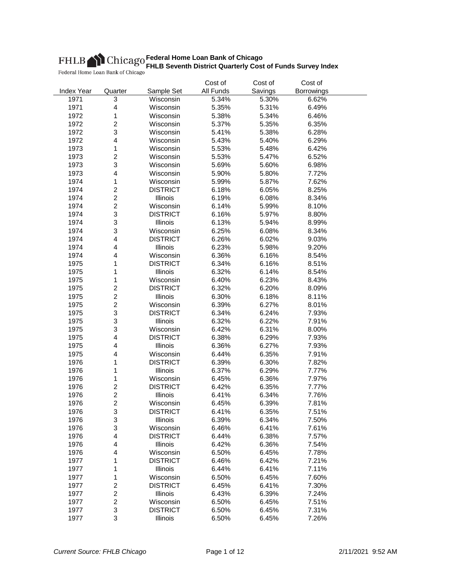|                   |                         |                 | Cost of   | Cost of | Cost of    |  |
|-------------------|-------------------------|-----------------|-----------|---------|------------|--|
| <b>Index Year</b> | Quarter                 | Sample Set      | All Funds | Savings | Borrowings |  |
| 1971              | 3                       | Wisconsin       | 5.34%     | 5.30%   | 6.62%      |  |
| 1971              | $\overline{\mathbf{4}}$ | Wisconsin       | 5.35%     | 5.31%   | 6.49%      |  |
| 1972              | 1                       | Wisconsin       | 5.38%     | 5.34%   | 6.46%      |  |
| 1972              | $\overline{c}$          | Wisconsin       | 5.37%     | 5.35%   | 6.35%      |  |
| 1972              | 3                       | Wisconsin       | 5.41%     | 5.38%   | 6.28%      |  |
| 1972              | $\overline{\mathbf{4}}$ | Wisconsin       | 5.43%     | 5.40%   | 6.29%      |  |
| 1973              | $\mathbf 1$             | Wisconsin       | 5.53%     | 5.48%   | 6.42%      |  |
| 1973              | $\overline{c}$          | Wisconsin       | 5.53%     | 5.47%   | 6.52%      |  |
| 1973              | 3                       | Wisconsin       | 5.69%     | 5.60%   | 6.98%      |  |
| 1973              | 4                       | Wisconsin       | 5.90%     | 5.80%   | 7.72%      |  |
| 1974              | 1                       | Wisconsin       | 5.99%     | 5.87%   | 7.62%      |  |
| 1974              | $\overline{c}$          | <b>DISTRICT</b> | 6.18%     | 6.05%   | 8.25%      |  |
| 1974              | $\overline{2}$          | Illinois        | 6.19%     | 6.08%   | 8.34%      |  |
| 1974              | $\overline{2}$          | Wisconsin       | 6.14%     | 5.99%   | 8.10%      |  |
| 1974              | 3                       | <b>DISTRICT</b> | 6.16%     | 5.97%   | 8.80%      |  |
| 1974              | 3                       | Illinois        | 6.13%     | 5.94%   | 8.99%      |  |
| 1974              | 3                       | Wisconsin       | 6.25%     | 6.08%   | 8.34%      |  |
| 1974              | $\overline{\mathbf{4}}$ | <b>DISTRICT</b> | 6.26%     | 6.02%   | 9.03%      |  |
| 1974              | 4                       | Illinois        | 6.23%     | 5.98%   | 9.20%      |  |
| 1974              | 4                       | Wisconsin       | 6.36%     | 6.16%   | 8.54%      |  |
| 1975              | 1                       | <b>DISTRICT</b> | 6.34%     | 6.16%   | 8.51%      |  |
| 1975              | 1                       | Illinois        | 6.32%     | 6.14%   | 8.54%      |  |
| 1975              | 1                       | Wisconsin       | 6.40%     | 6.23%   | 8.43%      |  |
| 1975              | $\overline{2}$          | <b>DISTRICT</b> | 6.32%     | 6.20%   | 8.09%      |  |
|                   | $\overline{2}$          |                 |           |         |            |  |
| 1975              | $\overline{c}$          | Illinois        | 6.30%     | 6.18%   | 8.11%      |  |
| 1975              |                         | Wisconsin       | 6.39%     | 6.27%   | 8.01%      |  |
| 1975              | 3                       | <b>DISTRICT</b> | 6.34%     | 6.24%   | 7.93%      |  |
| 1975              | 3                       | Illinois        | 6.32%     | 6.22%   | 7.91%      |  |
| 1975              | 3                       | Wisconsin       | 6.42%     | 6.31%   | 8.00%      |  |
| 1975              | $\overline{\mathbf{4}}$ | <b>DISTRICT</b> | 6.38%     | 6.29%   | 7.93%      |  |
| 1975              | $\overline{\mathbf{4}}$ | Illinois        | 6.36%     | 6.27%   | 7.93%      |  |
| 1975              | 4                       | Wisconsin       | 6.44%     | 6.35%   | 7.91%      |  |
| 1976              | 1                       | <b>DISTRICT</b> | 6.39%     | 6.30%   | 7.82%      |  |
| 1976              | 1                       | Illinois        | 6.37%     | 6.29%   | 7.77%      |  |
| 1976              | $\mathbf 1$             | Wisconsin       | 6.45%     | 6.36%   | 7.97%      |  |
| 1976              | $\overline{c}$          | <b>DISTRICT</b> | 6.42%     | 6.35%   | 7.77%      |  |
| 1976              | $\overline{c}$          | Illinois        | 6.41%     | 6.34%   | 7.76%      |  |
| 1976              | $\overline{c}$          | Wisconsin       | 6.45%     | 6.39%   | 7.81%      |  |
| 1976              | 3                       | <b>DISTRICT</b> | 6.41%     | 6.35%   | 7.51%      |  |
| 1976              | 3                       | Illinois        | 6.39%     | 6.34%   | 7.50%      |  |
| 1976              | 3                       | Wisconsin       | 6.46%     | 6.41%   | 7.61%      |  |
| 1976              | $\overline{\mathbf{4}}$ | <b>DISTRICT</b> | 6.44%     | 6.38%   | 7.57%      |  |
| 1976              | 4                       | Illinois        | 6.42%     | 6.36%   | 7.54%      |  |
| 1976              | 4                       | Wisconsin       | 6.50%     | 6.45%   | 7.78%      |  |
| 1977              | 1                       | <b>DISTRICT</b> | 6.46%     | 6.42%   | 7.21%      |  |
| 1977              | 1                       | Illinois        | 6.44%     | 6.41%   | 7.11%      |  |
| 1977              | 1                       | Wisconsin       | 6.50%     | 6.45%   | 7.60%      |  |
| 1977              | $\overline{c}$          | <b>DISTRICT</b> | 6.45%     | 6.41%   | 7.30%      |  |
| 1977              | $\overline{c}$          | Illinois        | 6.43%     | 6.39%   | 7.24%      |  |
| 1977              | $\overline{c}$          | Wisconsin       | 6.50%     | 6.45%   | 7.51%      |  |
| 1977              | 3                       | <b>DISTRICT</b> | 6.50%     | 6.45%   | 7.31%      |  |
| 1977              | 3                       | Illinois        | 6.50%     | 6.45%   | 7.26%      |  |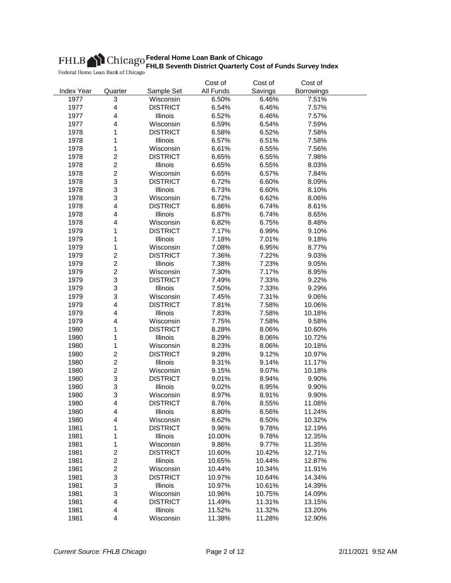|                   |                                    |                              | Cost of         | Cost of | Cost of    |  |
|-------------------|------------------------------------|------------------------------|-----------------|---------|------------|--|
| <b>Index Year</b> | Quarter                            | Sample Set                   | All Funds       | Savings | Borrowings |  |
| 1977              | 3                                  | Wisconsin                    | 6.50%           | 6.46%   | 7.51%      |  |
| 1977              | $\overline{\mathbf{4}}$            | <b>DISTRICT</b>              | 6.54%           | 6.46%   | 7.57%      |  |
| 1977              | 4                                  | Illinois                     | 6.52%           | 6.46%   | 7.57%      |  |
| 1977              | 4                                  | Wisconsin                    | 6.59%           | 6.54%   | 7.59%      |  |
| 1978              | 1                                  | <b>DISTRICT</b>              | 6.58%           | 6.52%   | 7.58%      |  |
| 1978              | 1                                  | Illinois                     | 6.57%           | 6.51%   | 7.58%      |  |
| 1978              | $\mathbf{1}$                       | Wisconsin                    | 6.61%           | 6.55%   | 7.56%      |  |
| 1978              | $\overline{c}$                     | <b>DISTRICT</b>              | 6.65%           | 6.55%   | 7.98%      |  |
| 1978              | $\boldsymbol{2}$                   | Illinois                     | 6.65%           | 6.55%   | 8.03%      |  |
| 1978              | $\overline{c}$                     | Wisconsin                    | 6.65%           | 6.57%   | 7.84%      |  |
| 1978              | 3                                  | <b>DISTRICT</b>              | 6.72%           | 6.60%   | 8.09%      |  |
| 1978              | 3                                  | Illinois                     | 6.73%           | 6.60%   | 8.10%      |  |
| 1978              | 3                                  | Wisconsin                    | 6.72%           | 6.62%   | 8.06%      |  |
| 1978              | 4                                  | <b>DISTRICT</b>              | 6.86%           | 6.74%   | 8.61%      |  |
| 1978              | 4                                  | Illinois                     | 6.87%           | 6.74%   | 8.65%      |  |
| 1978              | $\overline{\mathbf{4}}$            | Wisconsin                    | 6.82%           | 6.75%   | 8.48%      |  |
| 1979              | 1                                  | <b>DISTRICT</b>              | 7.17%           | 6.99%   | 9.10%      |  |
| 1979              | 1                                  | Illinois                     | 7.18%           | 7.01%   | 9.18%      |  |
| 1979              | 1                                  | Wisconsin                    | 7.08%           | 6.95%   | 8.77%      |  |
| 1979              | $\boldsymbol{2}$                   | <b>DISTRICT</b>              | 7.36%           | 7.22%   | 9.03%      |  |
| 1979              | $\overline{c}$                     | Illinois                     | 7.38%           | 7.23%   | 9.05%      |  |
| 1979              | $\overline{c}$                     | Wisconsin                    | 7.30%           | 7.17%   | 8.95%      |  |
| 1979              | 3                                  | <b>DISTRICT</b>              | 7.49%           | 7.33%   | 9.22%      |  |
| 1979              | 3                                  | Illinois                     | 7.50%           | 7.33%   | 9.29%      |  |
| 1979              | 3                                  | Wisconsin                    | 7.45%           | 7.31%   | 9.06%      |  |
| 1979              | 4                                  | <b>DISTRICT</b>              | 7.81%           | 7.58%   | 10.06%     |  |
| 1979              | 4                                  | Illinois                     | 7.83%           | 7.58%   | 10.18%     |  |
| 1979              | 4                                  | Wisconsin                    | 7.75%           | 7.58%   | 9.58%      |  |
| 1980              | 1                                  | <b>DISTRICT</b>              | 8.28%           | 8.06%   | 10.60%     |  |
| 1980              | 1                                  | Illinois                     | 8.29%           | 8.06%   | 10.72%     |  |
| 1980              | 1                                  | Wisconsin                    | 8.23%           | 8.06%   | 10.18%     |  |
| 1980              | $\boldsymbol{2}$                   | <b>DISTRICT</b>              | 9.28%           | 9.12%   | 10.97%     |  |
| 1980              | $\boldsymbol{2}$                   | Illinois                     | 9.31%           | 9.14%   | 11.17%     |  |
| 1980              | $\boldsymbol{2}$                   | Wisconsin                    | 9.15%           | 9.07%   | 10.18%     |  |
| 1980              | 3                                  | <b>DISTRICT</b>              | 9.01%           | 8.94%   | 9.90%      |  |
| 1980              | 3                                  | Illinois                     | 9.02%           | 8.95%   | 9.90%      |  |
| 1980              | 3                                  | Wisconsin                    | 8.97%           | 8.91%   | 9.90%      |  |
| 1980              | 4                                  | <b>DISTRICT</b>              | 8.76%           | 8.55%   | 11.08%     |  |
| 1980              | 4                                  | Illinois                     | 8.80%           | 8.56%   | 11.24%     |  |
| 1980              | 4                                  | Wisconsin                    | 8.62%           | 8.50%   | 10.32%     |  |
| 1981              | 1                                  | <b>DISTRICT</b>              |                 |         | 12.19%     |  |
| 1981              | 1                                  |                              | 9.96%<br>10.00% | 9.78%   |            |  |
|                   |                                    | Illinois                     |                 | 9.78%   | 12.35%     |  |
| 1981<br>1981      | 1<br>$\overline{\mathbf{c}}$       | Wisconsin<br><b>DISTRICT</b> | 9.86%<br>10.60% | 9.77%   | 11.35%     |  |
|                   |                                    |                              |                 | 10.42%  | 12.71%     |  |
| 1981              | $\boldsymbol{2}$<br>$\overline{c}$ | Illinois                     | 10.65%          | 10.44%  | 12.87%     |  |
| 1981              |                                    | Wisconsin                    | 10.44%          | 10.34%  | 11.91%     |  |
| 1981              | 3                                  | <b>DISTRICT</b>              | 10.97%          | 10.64%  | 14.34%     |  |
| 1981              | 3                                  | Illinois                     | 10.97%          | 10.61%  | 14.39%     |  |
| 1981              | 3                                  | Wisconsin                    | 10.96%          | 10.75%  | 14.09%     |  |
| 1981              | $\overline{\mathbf{4}}$            | <b>DISTRICT</b>              | 11.49%          | 11.31%  | 13.15%     |  |
| 1981              | 4                                  | Illinois                     | 11.52%          | 11.32%  | 13.20%     |  |
| 1981              | 4                                  | Wisconsin                    | 11.38%          | 11.28%  | 12.90%     |  |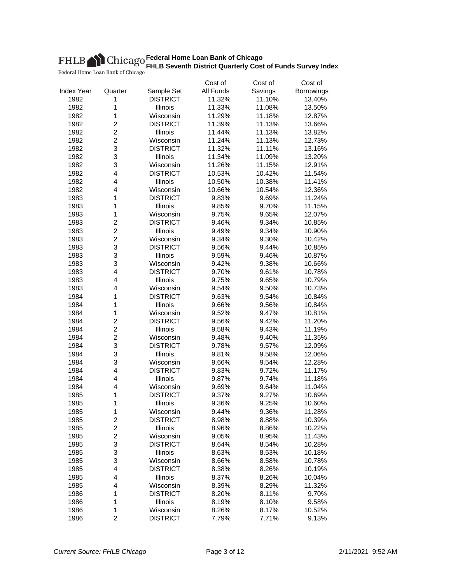|                   |                                           |                              | Cost of        | Cost of | Cost of    |  |
|-------------------|-------------------------------------------|------------------------------|----------------|---------|------------|--|
| <b>Index Year</b> | Quarter                                   | Sample Set                   | All Funds      | Savings | Borrowings |  |
| 1982              | 1                                         | <b>DISTRICT</b>              | 11.32%         | 11.10%  | 13.40%     |  |
| 1982              | 1                                         | Illinois                     | 11.33%         | 11.08%  | 13.50%     |  |
| 1982              | 1                                         | Wisconsin                    | 11.29%         | 11.18%  | 12.87%     |  |
| 1982              | $\overline{\mathbf{c}}$                   | <b>DISTRICT</b>              | 11.39%         | 11.13%  | 13.66%     |  |
| 1982              | $\overline{c}$                            | Illinois                     | 11.44%         | 11.13%  | 13.82%     |  |
| 1982              | $\overline{c}$                            | Wisconsin                    | 11.24%         | 11.13%  | 12.73%     |  |
| 1982              | 3                                         | <b>DISTRICT</b>              | 11.32%         | 11.11%  | 13.16%     |  |
| 1982              | 3                                         | Illinois                     | 11.34%         | 11.09%  | 13.20%     |  |
| 1982              | 3                                         | Wisconsin                    | 11.26%         | 11.15%  | 12.91%     |  |
| 1982              | 4                                         | <b>DISTRICT</b>              | 10.53%         | 10.42%  | 11.54%     |  |
| 1982              | $\overline{\mathbf{4}}$                   | Illinois                     | 10.50%         | 10.38%  | 11.41%     |  |
| 1982              | 4                                         | Wisconsin                    | 10.66%         | 10.54%  | 12.36%     |  |
| 1983              | 1                                         | <b>DISTRICT</b>              | 9.83%          | 9.69%   | 11.24%     |  |
| 1983              | 1                                         | Illinois                     | 9.85%          | 9.70%   | 11.15%     |  |
| 1983              | 1                                         | Wisconsin                    | 9.75%          | 9.65%   | 12.07%     |  |
| 1983              | $\overline{c}$                            | <b>DISTRICT</b>              | 9.46%          | 9.34%   | 10.85%     |  |
| 1983              | $\boldsymbol{2}$                          | Illinois                     | 9.49%          | 9.34%   | 10.90%     |  |
| 1983              | $\boldsymbol{2}$                          | Wisconsin                    | 9.34%          | 9.30%   | 10.42%     |  |
| 1983              | 3                                         | <b>DISTRICT</b>              | 9.56%          | 9.44%   | 10.85%     |  |
| 1983              | 3                                         | Illinois                     | 9.59%          | 9.46%   | 10.87%     |  |
| 1983              | 3                                         | Wisconsin                    | 9.42%          | 9.38%   | 10.66%     |  |
| 1983              | 4                                         | <b>DISTRICT</b>              | 9.70%          | 9.61%   | 10.78%     |  |
| 1983              | 4                                         | Illinois                     | 9.75%          | 9.65%   | 10.79%     |  |
| 1983              | 4                                         | Wisconsin                    | 9.54%          | 9.50%   | 10.73%     |  |
| 1984              | 1                                         | <b>DISTRICT</b>              | 9.63%          | 9.54%   | 10.84%     |  |
| 1984              | 1                                         | Illinois                     | 9.66%          | 9.56%   | 10.84%     |  |
| 1984              | 1                                         | Wisconsin                    | 9.52%          | 9.47%   | 10.81%     |  |
| 1984              | $\overline{c}$                            | <b>DISTRICT</b>              | 9.56%          | 9.42%   | 11.20%     |  |
| 1984              | $\overline{c}$                            | Illinois                     | 9.58%          | 9.43%   | 11.19%     |  |
| 1984              | $\boldsymbol{2}$                          | Wisconsin                    | 9.48%          | 9.40%   | 11.35%     |  |
| 1984              | 3                                         | <b>DISTRICT</b>              | 9.78%          | 9.57%   | 12.09%     |  |
| 1984              | 3                                         | Illinois                     | 9.81%          | 9.58%   | 12.06%     |  |
| 1984              | 3                                         | Wisconsin                    | 9.66%          | 9.54%   | 12.28%     |  |
| 1984              | 4                                         | <b>DISTRICT</b>              | 9.83%          | 9.72%   | 11.17%     |  |
| 1984              | $\overline{\mathbf{4}}$                   | Illinois                     | 9.87%          | 9.74%   | 11.18%     |  |
| 1984              | $\overline{\mathbf{4}}$                   | Wisconsin                    | 9.69%          | 9.64%   | 11.04%     |  |
| 1985              | 1                                         | <b>DISTRICT</b>              |                | 9.27%   | 10.69%     |  |
| 1985              | 1                                         | Illinois                     | 9.37%          | 9.25%   | 10.60%     |  |
|                   |                                           |                              | 9.36%          |         |            |  |
| 1985              | 1                                         | Wisconsin<br><b>DISTRICT</b> | 9.44%          | 9.36%   | 11.28%     |  |
| 1985              | $\overline{\mathbf{c}}$<br>$\overline{c}$ |                              | 8.98%<br>8.96% | 8.88%   | 10.39%     |  |
| 1985              |                                           | Illinois                     |                | 8.86%   | 10.22%     |  |
| 1985              | $\overline{c}$                            | Wisconsin                    | 9.05%          | 8.95%   | 11.43%     |  |
| 1985              | 3                                         | <b>DISTRICT</b>              | 8.64%          | 8.54%   | 10.28%     |  |
| 1985              | 3                                         | Illinois                     | 8.63%          | 8.53%   | 10.18%     |  |
| 1985              | 3                                         | Wisconsin                    | 8.66%          | 8.58%   | 10.78%     |  |
| 1985              | 4                                         | <b>DISTRICT</b>              | 8.38%          | 8.26%   | 10.19%     |  |
| 1985              | 4                                         | Illinois                     | 8.37%          | 8.26%   | 10.04%     |  |
| 1985              | 4                                         | Wisconsin                    | 8.39%          | 8.29%   | 11.32%     |  |
| 1986              | 1                                         | <b>DISTRICT</b>              | 8.20%          | 8.11%   | 9.70%      |  |
| 1986              | 1                                         | Illinois                     | 8.19%          | 8.10%   | 9.58%      |  |
| 1986              | 1                                         | Wisconsin                    | 8.26%          | 8.17%   | 10.52%     |  |
| 1986              | $\overline{c}$                            | <b>DISTRICT</b>              | 7.79%          | 7.71%   | 9.13%      |  |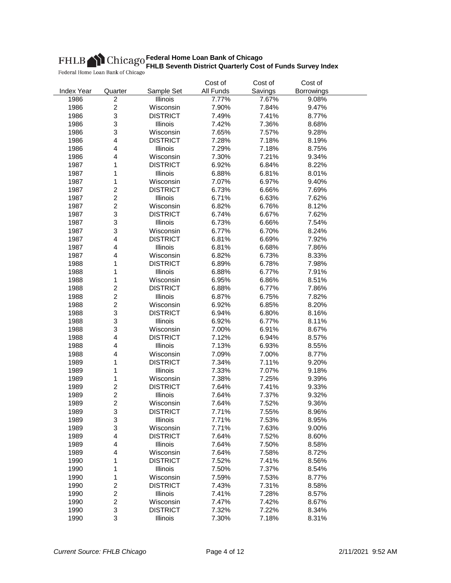|                   |                         |                 | Cost of   | Cost of | Cost of    |  |
|-------------------|-------------------------|-----------------|-----------|---------|------------|--|
| <b>Index Year</b> | Quarter                 | Sample Set      | All Funds | Savings | Borrowings |  |
| 1986              | $\overline{c}$          | Illinois        | 7.77%     | 7.67%   | 9.08%      |  |
| 1986              | $\overline{c}$          | Wisconsin       | 7.90%     | 7.84%   | 9.47%      |  |
| 1986              | 3                       | <b>DISTRICT</b> | 7.49%     | 7.41%   | 8.77%      |  |
| 1986              | 3                       | Illinois        | 7.42%     | 7.36%   | 8.68%      |  |
| 1986              | 3                       | Wisconsin       | 7.65%     | 7.57%   | 9.28%      |  |
| 1986              | $\overline{\mathbf{4}}$ | <b>DISTRICT</b> | 7.28%     | 7.18%   | 8.19%      |  |
| 1986              | 4                       | Illinois        | 7.29%     | 7.18%   | 8.75%      |  |
| 1986              | 4                       | Wisconsin       | 7.30%     | 7.21%   | 9.34%      |  |
| 1987              | 1                       | <b>DISTRICT</b> | 6.92%     | 6.84%   | 8.22%      |  |
| 1987              | 1                       | Illinois        | 6.88%     | 6.81%   | 8.01%      |  |
| 1987              | 1                       | Wisconsin       | 7.07%     | 6.97%   | 9.40%      |  |
| 1987              | $\overline{\mathbf{c}}$ | <b>DISTRICT</b> | 6.73%     | 6.66%   | 7.69%      |  |
| 1987              | $\overline{c}$          | Illinois        | 6.71%     | 6.63%   | 7.62%      |  |
| 1987              | $\overline{c}$          | Wisconsin       | 6.82%     | 6.76%   | 8.12%      |  |
| 1987              | 3                       | <b>DISTRICT</b> | 6.74%     | 6.67%   | 7.62%      |  |
| 1987              | 3                       | Illinois        | 6.73%     | 6.66%   | 7.54%      |  |
| 1987              | 3                       | Wisconsin       | 6.77%     | 6.70%   | 8.24%      |  |
| 1987              | 4                       | <b>DISTRICT</b> | 6.81%     | 6.69%   | 7.92%      |  |
| 1987              | 4                       | Illinois        | 6.81%     | 6.68%   | 7.86%      |  |
| 1987              | 4                       | Wisconsin       | 6.82%     | 6.73%   | 8.33%      |  |
| 1988              | 1                       | <b>DISTRICT</b> | 6.89%     | 6.78%   | 7.98%      |  |
| 1988              | 1                       | Illinois        | 6.88%     | 6.77%   | 7.91%      |  |
| 1988              | 1                       | Wisconsin       | 6.95%     | 6.86%   | 8.51%      |  |
| 1988              | $\overline{c}$          | <b>DISTRICT</b> | 6.88%     | 6.77%   | 7.86%      |  |
| 1988              | $\overline{c}$          | Illinois        | 6.87%     | 6.75%   | 7.82%      |  |
| 1988              | $\overline{\mathbf{c}}$ | Wisconsin       | 6.92%     | 6.85%   | 8.20%      |  |
| 1988              | 3                       | <b>DISTRICT</b> |           | 6.80%   |            |  |
|                   | 3                       |                 | 6.94%     |         | 8.16%      |  |
| 1988              | 3                       | Illinois        | 6.92%     | 6.77%   | 8.11%      |  |
| 1988              |                         | Wisconsin       | 7.00%     | 6.91%   | 8.67%      |  |
| 1988              | 4                       | <b>DISTRICT</b> | 7.12%     | 6.94%   | 8.57%      |  |
| 1988              | 4                       | Illinois        | 7.13%     | 6.93%   | 8.55%      |  |
| 1988              | 4                       | Wisconsin       | 7.09%     | 7.00%   | 8.77%      |  |
| 1989              | 1                       | <b>DISTRICT</b> | 7.34%     | 7.11%   | 9.20%      |  |
| 1989              | 1                       | Illinois        | 7.33%     | 7.07%   | 9.18%      |  |
| 1989              | 1                       | Wisconsin       | 7.38%     | 7.25%   | 9.39%      |  |
| 1989              | $\overline{c}$          | <b>DISTRICT</b> | 7.64%     | 7.41%   | 9.33%      |  |
| 1989              | $\overline{c}$          | Illinois        | 7.64%     | 7.37%   | 9.32%      |  |
| 1989              | $\overline{2}$          | Wisconsin       | 7.64%     | 7.52%   | 9.36%      |  |
| 1989              | 3                       | <b>DISTRICT</b> | 7.71%     | 7.55%   | 8.96%      |  |
| 1989              | 3                       | Illinois        | 7.71%     | 7.53%   | 8.95%      |  |
| 1989              | 3                       | Wisconsin       | 7.71%     | 7.63%   | 9.00%      |  |
| 1989              | $\overline{\mathbf{4}}$ | <b>DISTRICT</b> | 7.64%     | 7.52%   | 8.60%      |  |
| 1989              | 4                       | <b>Illinois</b> | 7.64%     | 7.50%   | 8.58%      |  |
| 1989              | 4                       | Wisconsin       | 7.64%     | 7.58%   | 8.72%      |  |
| 1990              | 1                       | <b>DISTRICT</b> | 7.52%     | 7.41%   | 8.56%      |  |
| 1990              | 1                       | Illinois        | 7.50%     | 7.37%   | 8.54%      |  |
| 1990              | 1                       | Wisconsin       | 7.59%     | 7.53%   | 8.77%      |  |
| 1990              | $\overline{\mathbf{c}}$ | <b>DISTRICT</b> | 7.43%     | 7.31%   | 8.58%      |  |
| 1990              | $\overline{c}$          | Illinois        | 7.41%     | 7.28%   | 8.57%      |  |
| 1990              | $\overline{c}$          | Wisconsin       | 7.47%     | 7.42%   | 8.67%      |  |
| 1990              | 3                       | <b>DISTRICT</b> | 7.32%     | 7.22%   | 8.34%      |  |
| 1990              | 3                       | Illinois        | 7.30%     | 7.18%   | 8.31%      |  |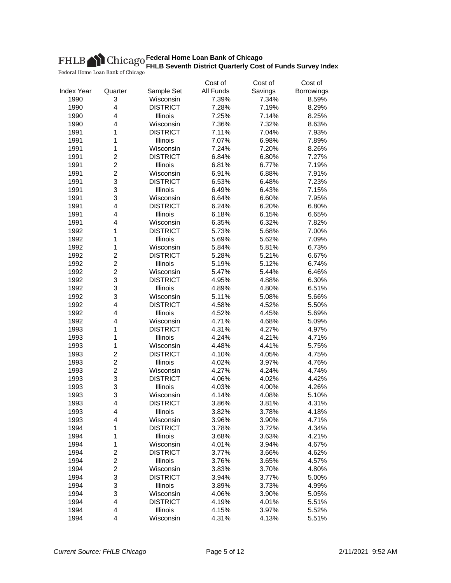|                   |                         |                 | Cost of   | Cost of | Cost of    |  |
|-------------------|-------------------------|-----------------|-----------|---------|------------|--|
| <b>Index Year</b> | Quarter                 | Sample Set      | All Funds | Savings | Borrowings |  |
| 1990              | 3                       | Wisconsin       | 7.39%     | 7.34%   | 8.59%      |  |
| 1990              | 4                       | <b>DISTRICT</b> | 7.28%     | 7.19%   | 8.29%      |  |
| 1990              | 4                       | Illinois        | 7.25%     | 7.14%   | 8.25%      |  |
| 1990              | 4                       | Wisconsin       | 7.36%     | 7.32%   | 8.63%      |  |
| 1991              | 1                       | <b>DISTRICT</b> | 7.11%     | 7.04%   | 7.93%      |  |
| 1991              | 1                       | Illinois        | 7.07%     | 6.98%   | 7.89%      |  |
| 1991              | 1                       | Wisconsin       | 7.24%     | 7.20%   | 8.26%      |  |
| 1991              | $\overline{c}$          | <b>DISTRICT</b> | 6.84%     | 6.80%   | 7.27%      |  |
| 1991              | $\overline{c}$          | Illinois        | 6.81%     | 6.77%   | 7.19%      |  |
| 1991              | $\overline{c}$          | Wisconsin       | 6.91%     | 6.88%   | 7.91%      |  |
| 1991              | 3                       | <b>DISTRICT</b> | 6.53%     | 6.48%   | 7.23%      |  |
| 1991              | 3                       | Illinois        | 6.49%     | 6.43%   | 7.15%      |  |
| 1991              | 3                       | Wisconsin       | 6.64%     | 6.60%   | 7.95%      |  |
| 1991              | 4                       | <b>DISTRICT</b> | 6.24%     | 6.20%   | 6.80%      |  |
| 1991              | 4                       | Illinois        | 6.18%     | 6.15%   | 6.65%      |  |
| 1991              | 4                       | Wisconsin       | 6.35%     | 6.32%   | 7.82%      |  |
| 1992              | 1                       | <b>DISTRICT</b> | 5.73%     | 5.68%   | 7.00%      |  |
| 1992              | 1                       | <b>Illinois</b> | 5.69%     | 5.62%   | 7.09%      |  |
| 1992              | 1                       | Wisconsin       | 5.84%     | 5.81%   | 6.73%      |  |
| 1992              | $\overline{c}$          | <b>DISTRICT</b> | 5.28%     | 5.21%   | 6.67%      |  |
| 1992              | $\overline{c}$          | Illinois        | 5.19%     | 5.12%   | 6.74%      |  |
| 1992              | $\overline{c}$          | Wisconsin       | 5.47%     | 5.44%   | 6.46%      |  |
| 1992              | 3                       | <b>DISTRICT</b> | 4.95%     | 4.88%   | 6.30%      |  |
| 1992              | 3                       | Illinois        | 4.89%     | 4.80%   | 6.51%      |  |
| 1992              | 3                       | Wisconsin       | 5.11%     | 5.08%   | 5.66%      |  |
| 1992              | 4                       | <b>DISTRICT</b> | 4.58%     | 4.52%   | 5.50%      |  |
| 1992              | 4                       | Illinois        | 4.52%     | 4.45%   | 5.69%      |  |
| 1992              | 4                       | Wisconsin       | 4.71%     | 4.68%   | 5.09%      |  |
| 1993              | 1                       | <b>DISTRICT</b> | 4.31%     | 4.27%   | 4.97%      |  |
| 1993              | 1                       | Illinois        | 4.24%     | 4.21%   | 4.71%      |  |
| 1993              | 1                       | Wisconsin       | 4.48%     | 4.41%   | 5.75%      |  |
| 1993              | $\overline{\mathbf{c}}$ | <b>DISTRICT</b> | 4.10%     | 4.05%   | 4.75%      |  |
| 1993              | $\overline{c}$          | Illinois        | 4.02%     | 3.97%   | 4.76%      |  |
| 1993              | $\overline{c}$          | Wisconsin       | 4.27%     | 4.24%   | 4.74%      |  |
| 1993              | 3                       | <b>DISTRICT</b> | 4.06%     | 4.02%   | 4.42%      |  |
| 1993              | 3                       | Illinois        | 4.03%     | 4.00%   | 4.26%      |  |
| 1993              | 3                       | Wisconsin       | 4.14%     | 4.08%   | 5.10%      |  |
| 1993              | 4                       | <b>DISTRICT</b> | 3.86%     | 3.81%   | 4.31%      |  |
| 1993              | 4                       | Illinois        | 3.82%     | 3.78%   | 4.18%      |  |
| 1993              | 4                       | Wisconsin       | 3.96%     | 3.90%   | 4.71%      |  |
| 1994              | 1                       | <b>DISTRICT</b> | 3.78%     | 3.72%   | 4.34%      |  |
| 1994              | 1                       | Illinois        | 3.68%     | 3.63%   | 4.21%      |  |
| 1994              | 1                       | Wisconsin       | 4.01%     | 3.94%   | 4.67%      |  |
| 1994              | $\overline{\mathbf{c}}$ | <b>DISTRICT</b> | 3.77%     | 3.66%   | 4.62%      |  |
| 1994              | $\overline{\mathbf{c}}$ | Illinois        | 3.76%     | 3.65%   | 4.57%      |  |
| 1994              | $\overline{\mathbf{c}}$ | Wisconsin       | 3.83%     | 3.70%   | 4.80%      |  |
| 1994              | 3                       | <b>DISTRICT</b> | 3.94%     | 3.77%   | 5.00%      |  |
| 1994              | 3                       | Illinois        | 3.89%     | 3.73%   | 4.99%      |  |
| 1994              | 3                       | Wisconsin       | 4.06%     | 3.90%   | 5.05%      |  |
| 1994              | $\overline{\mathbf{4}}$ | <b>DISTRICT</b> | 4.19%     | 4.01%   | 5.51%      |  |
| 1994              | 4                       | Illinois        | 4.15%     | 3.97%   | 5.52%      |  |
| 1994              | 4                       | Wisconsin       | 4.31%     | 4.13%   | 5.51%      |  |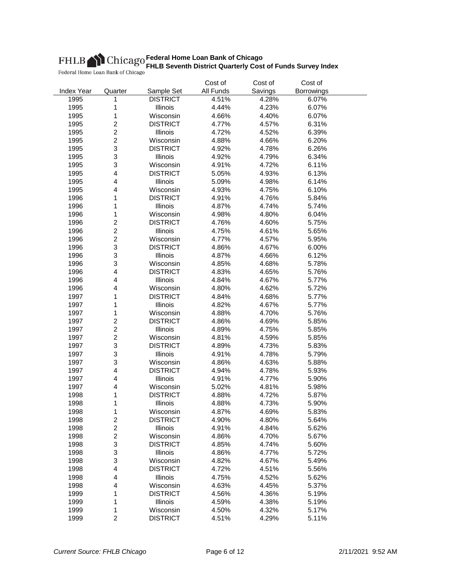|                   |                         |                       | Cost of        | Cost of | Cost of    |  |
|-------------------|-------------------------|-----------------------|----------------|---------|------------|--|
| <b>Index Year</b> | Quarter                 | Sample Set            | All Funds      | Savings | Borrowings |  |
| 1995              | 1                       | <b>DISTRICT</b>       | 4.51%          | 4.28%   | 6.07%      |  |
| 1995              | 1                       | Illinois              | 4.44%          | 4.23%   | 6.07%      |  |
| 1995              | 1                       | Wisconsin             | 4.66%          | 4.40%   | 6.07%      |  |
| 1995              | $\overline{\mathbf{c}}$ | <b>DISTRICT</b>       | 4.77%          | 4.57%   | 6.31%      |  |
| 1995              | $\overline{c}$          | Illinois              | 4.72%          | 4.52%   | 6.39%      |  |
| 1995              | $\overline{c}$          | Wisconsin             | 4.88%          | 4.66%   | 6.20%      |  |
| 1995              | 3                       | <b>DISTRICT</b>       | 4.92%          | 4.78%   | 6.26%      |  |
| 1995              | 3                       | Illinois              | 4.92%          | 4.79%   | 6.34%      |  |
| 1995              | 3                       | Wisconsin             | 4.91%          | 4.72%   | 6.11%      |  |
| 1995              | 4                       | <b>DISTRICT</b>       | 5.05%          | 4.93%   | 6.13%      |  |
| 1995              | 4                       | Illinois              | 5.09%          | 4.98%   | 6.14%      |  |
| 1995              | 4                       | Wisconsin             | 4.93%          | 4.75%   | 6.10%      |  |
| 1996              | 1                       | <b>DISTRICT</b>       | 4.91%          | 4.76%   | 5.84%      |  |
| 1996              | 1                       | Illinois              | 4.87%          | 4.74%   | 5.74%      |  |
| 1996              | 1                       | Wisconsin             | 4.98%          | 4.80%   | 6.04%      |  |
| 1996              | $\overline{c}$          | <b>DISTRICT</b>       | 4.76%          | 4.60%   | 5.75%      |  |
| 1996              | $\overline{c}$          | Illinois              | 4.75%          | 4.61%   | 5.65%      |  |
| 1996              | $\overline{c}$          | Wisconsin             | 4.77%          | 4.57%   | 5.95%      |  |
| 1996              | 3                       | <b>DISTRICT</b>       | 4.86%          | 4.67%   | 6.00%      |  |
| 1996              | 3                       | Illinois              | 4.87%          | 4.66%   | 6.12%      |  |
| 1996              | 3                       | Wisconsin             | 4.85%          | 4.68%   | 5.78%      |  |
| 1996              | 4                       | <b>DISTRICT</b>       | 4.83%          | 4.65%   | 5.76%      |  |
| 1996              | 4                       | Illinois              | 4.84%          | 4.67%   | 5.77%      |  |
| 1996              | 4                       | Wisconsin             | 4.80%          | 4.62%   | 5.72%      |  |
| 1997              | 1                       | <b>DISTRICT</b>       | 4.84%          | 4.68%   | 5.77%      |  |
| 1997              | 1                       | Illinois              | 4.82%          | 4.67%   | 5.77%      |  |
| 1997              | 1                       | Wisconsin             | 4.88%          | 4.70%   | 5.76%      |  |
| 1997              | $\overline{c}$          | <b>DISTRICT</b>       | 4.86%          | 4.69%   | 5.85%      |  |
| 1997              | $\overline{c}$          | Illinois              | 4.89%          | 4.75%   | 5.85%      |  |
| 1997              | $\overline{c}$          | Wisconsin             | 4.81%          | 4.59%   | 5.85%      |  |
| 1997              | 3                       | <b>DISTRICT</b>       | 4.89%          | 4.73%   | 5.83%      |  |
| 1997              | 3                       | Illinois              | 4.91%          | 4.78%   | 5.79%      |  |
| 1997              | 3                       | Wisconsin             | 4.86%          | 4.63%   | 5.88%      |  |
| 1997              | 4                       | <b>DISTRICT</b>       | 4.94%          | 4.78%   | 5.93%      |  |
| 1997              | 4                       | <b>Illinois</b>       | 4.91%          | 4.77%   | 5.90%      |  |
| 1997              | $\overline{\mathbf{4}}$ | Wisconsin             | 5.02%          | 4.81%   | 5.98%      |  |
| 1998              | 1                       | <b>DISTRICT</b>       | 4.88%          | 4.72%   | 5.87%      |  |
| 1998              | 1                       | Illinois              | 4.88%          | 4.73%   | 5.90%      |  |
| 1998              | 1                       | Wisconsin             | 4.87%          | 4.69%   | 5.83%      |  |
| 1998              | $\overline{\mathbf{c}}$ | <b>DISTRICT</b>       | 4.90%          | 4.80%   | 5.64%      |  |
| 1998              | $\overline{c}$          | Illinois              | 4.91%          | 4.84%   | 5.62%      |  |
| 1998              | $\overline{c}$          | Wisconsin             | 4.86%          | 4.70%   | 5.67%      |  |
| 1998              | 3                       | <b>DISTRICT</b>       | 4.85%          | 4.74%   | 5.60%      |  |
| 1998              | 3                       | <b>Illinois</b>       | 4.86%          | 4.77%   | 5.72%      |  |
| 1998              | 3                       | Wisconsin             |                |         |            |  |
| 1998              | 4                       | <b>DISTRICT</b>       | 4.82%<br>4.72% | 4.67%   | 5.49%      |  |
|                   |                         |                       |                | 4.51%   | 5.56%      |  |
| 1998<br>1998      | 4<br>4                  | Illinois<br>Wisconsin | 4.75%<br>4.63% | 4.52%   | 5.62%      |  |
|                   |                         | <b>DISTRICT</b>       |                | 4.45%   | 5.37%      |  |
| 1999              | 1                       |                       | 4.56%          | 4.36%   | 5.19%      |  |
| 1999              | 1                       | Illinois              | 4.59%          | 4.38%   | 5.19%      |  |
| 1999              | 1<br>$\overline{2}$     | Wisconsin             | 4.50%          | 4.32%   | 5.17%      |  |
| 1999              |                         | <b>DISTRICT</b>       | 4.51%          | 4.29%   | 5.11%      |  |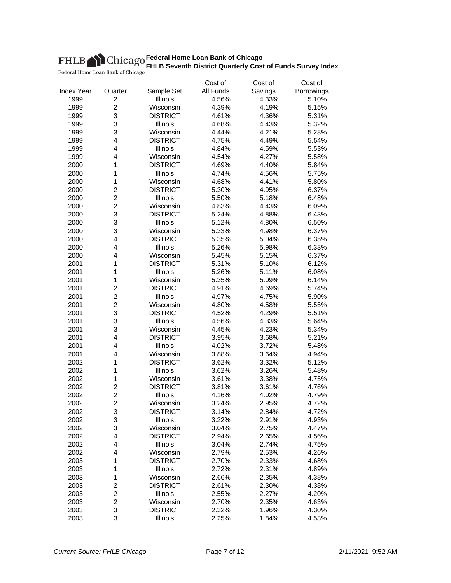|                   |                                           |                              | Cost of        | Cost of        | Cost of           |  |
|-------------------|-------------------------------------------|------------------------------|----------------|----------------|-------------------|--|
| <b>Index Year</b> | Quarter                                   | Sample Set                   | All Funds      | Savings        | <b>Borrowings</b> |  |
| 1999              | $\overline{c}$                            | Illinois                     | 4.56%          | 4.33%          | 5.10%             |  |
| 1999              | $\overline{c}$                            | Wisconsin                    | 4.39%          | 4.19%          | 5.15%             |  |
| 1999              | 3                                         | <b>DISTRICT</b>              | 4.61%          | 4.36%          | 5.31%             |  |
| 1999              | 3                                         | Illinois                     | 4.68%          | 4.43%          | 5.32%             |  |
| 1999              | 3                                         | Wisconsin                    | 4.44%          | 4.21%          | 5.28%             |  |
| 1999              | 4                                         | <b>DISTRICT</b>              | 4.75%          | 4.49%          | 5.54%             |  |
| 1999              | 4                                         | Illinois                     | 4.84%          | 4.59%          | 5.53%             |  |
| 1999              | 4                                         | Wisconsin                    | 4.54%          | 4.27%          | 5.58%             |  |
| 2000              | 1                                         | <b>DISTRICT</b>              | 4.69%          | 4.40%          | 5.84%             |  |
| 2000              | 1                                         | Illinois                     | 4.74%          | 4.56%          | 5.75%             |  |
| 2000              | 1                                         | Wisconsin                    | 4.68%          | 4.41%          | 5.80%             |  |
| 2000              | $\overline{\mathbf{c}}$                   | <b>DISTRICT</b>              | 5.30%          | 4.95%          | 6.37%             |  |
| 2000              | $\overline{c}$                            | Illinois                     | 5.50%          | 5.18%          | 6.48%             |  |
| 2000              | $\overline{c}$                            | Wisconsin                    | 4.83%          | 4.43%          | 6.09%             |  |
| 2000              | 3                                         | <b>DISTRICT</b>              | 5.24%          | 4.88%          | 6.43%             |  |
| 2000              | 3                                         | Illinois                     | 5.12%          | 4.80%          | 6.50%             |  |
| 2000              | 3                                         | Wisconsin                    | 5.33%          | 4.98%          | 6.37%             |  |
| 2000              | 4                                         | <b>DISTRICT</b>              | 5.35%          | 5.04%          | 6.35%             |  |
| 2000              | 4                                         | Illinois                     | 5.26%          | 5.98%          | 6.33%             |  |
| 2000              | 4                                         | Wisconsin                    | 5.45%          | 5.15%          | 6.37%             |  |
| 2001              | 1                                         | <b>DISTRICT</b>              | 5.31%          | 5.10%          | 6.12%             |  |
| 2001              | 1                                         | Illinois                     | 5.26%          | 5.11%          | 6.08%             |  |
| 2001              | 1                                         | Wisconsin                    | 5.35%          | 5.09%          | 6.14%             |  |
| 2001              | $\overline{c}$                            | <b>DISTRICT</b>              | 4.91%          | 4.69%          | 5.74%             |  |
| 2001              | $\overline{c}$                            | <b>Illinois</b>              | 4.97%          | 4.75%          | 5.90%             |  |
| 2001              | $\overline{c}$                            | Wisconsin                    | 4.80%          | 4.58%          | 5.55%             |  |
| 2001              | 3                                         | <b>DISTRICT</b>              | 4.52%          | 4.29%          | 5.51%             |  |
| 2001              | 3                                         | Illinois                     | 4.56%          | 4.33%          | 5.64%             |  |
| 2001              | 3                                         | Wisconsin                    | 4.45%          | 4.23%          | 5.34%             |  |
| 2001              | 4                                         | <b>DISTRICT</b>              | 3.95%          | 3.68%          | 5.21%             |  |
| 2001              | 4                                         | Illinois                     | 4.02%          | 3.72%          | 5.48%             |  |
| 2001              | 4                                         | Wisconsin                    | 3.88%          | 3.64%          | 4.94%             |  |
| 2002              | 1                                         | <b>DISTRICT</b>              | 3.62%          | 3.32%          | 5.12%             |  |
| 2002              | 1                                         | Illinois                     | 3.62%          | 3.26%          | 5.48%             |  |
| 2002              | 1                                         | Wisconsin                    | 3.61%          | 3.38%          | 4.75%             |  |
| 2002              | $\overline{c}$                            | <b>DISTRICT</b>              | 3.81%          | 3.61%          | 4.76%             |  |
| 2002              | $\overline{c}$                            | Illinois                     | 4.16%          | 4.02%          | 4.79%             |  |
| 2002              | $\overline{c}$                            | Wisconsin                    | 3.24%          | 2.95%          | 4.72%             |  |
| 2002              | 3                                         | <b>DISTRICT</b>              | 3.14%          | 2.84%          | 4.72%             |  |
| 2002              | 3                                         | Illinois                     | 3.22%          | 2.91%          | 4.93%             |  |
|                   | 3                                         | Wisconsin                    | 3.04%          |                |                   |  |
| 2002<br>2002      | 4                                         | <b>DISTRICT</b>              |                | 2.75%          | 4.47%             |  |
| 2002              | 4                                         | Illinois                     | 2.94%          | 2.65%<br>2.74% | 4.56%<br>4.75%    |  |
| 2002              | 4                                         | Wisconsin                    | 3.04%<br>2.79% | 2.53%          | 4.26%             |  |
|                   |                                           |                              |                |                |                   |  |
| 2003<br>2003      | 1                                         | <b>DISTRICT</b><br>Illinois  | 2.70%<br>2.72% | 2.33%          | 4.68%<br>4.89%    |  |
|                   | 1                                         |                              |                | 2.31%<br>2.35% |                   |  |
| 2003              | 1                                         | Wisconsin<br><b>DISTRICT</b> | 2.66%          |                | 4.38%             |  |
| 2003              | $\overline{\mathbf{c}}$<br>$\overline{c}$ |                              | 2.61%          | 2.30%          | 4.38%             |  |
| 2003              | $\overline{c}$                            | Illinois                     | 2.55%          | 2.27%          | 4.20%             |  |
| 2003              |                                           | Wisconsin                    | 2.70%          | 2.35%          | 4.63%             |  |
| 2003              | 3<br>3                                    | <b>DISTRICT</b>              | 2.32%          | 1.96%          | 4.30%             |  |
| 2003              |                                           | Illinois                     | 2.25%          | 1.84%          | 4.53%             |  |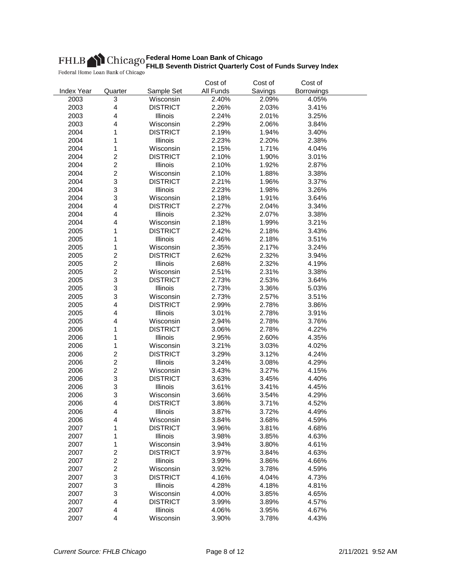|                   |                         |                              | Cost of        | Cost of        | Cost of        |  |
|-------------------|-------------------------|------------------------------|----------------|----------------|----------------|--|
| <b>Index Year</b> | Quarter                 | Sample Set                   | All Funds      | Savings        | Borrowings     |  |
| 2003              | 3                       | Wisconsin                    | 2.40%          | 2.09%          | 4.05%          |  |
| 2003              | $\overline{\mathbf{4}}$ | <b>DISTRICT</b>              | 2.26%          | 2.03%          | 3.41%          |  |
| 2003              | $\overline{\mathbf{4}}$ | Illinois                     | 2.24%          | 2.01%          | 3.25%          |  |
| 2003              | 4                       | Wisconsin                    | 2.29%          | 2.06%          | 3.84%          |  |
| 2004              | 1                       | <b>DISTRICT</b>              | 2.19%          | 1.94%          | 3.40%          |  |
| 2004              | 1                       | Illinois                     | 2.23%          | 2.20%          | 2.38%          |  |
| 2004              | $\mathbf 1$             | Wisconsin                    | 2.15%          | 1.71%          | 4.04%          |  |
| 2004              | $\overline{c}$          | <b>DISTRICT</b>              | 2.10%          | 1.90%          | 3.01%          |  |
| 2004              | $\overline{c}$          | Illinois                     | 2.10%          | 1.92%          | 2.87%          |  |
| 2004              | $\overline{c}$          | Wisconsin                    | 2.10%          | 1.88%          | 3.38%          |  |
| 2004              | 3                       | <b>DISTRICT</b>              | 2.21%          | 1.96%          | 3.37%          |  |
| 2004              | 3                       | Illinois                     | 2.23%          | 1.98%          | 3.26%          |  |
| 2004              | 3                       | Wisconsin                    | 2.18%          | 1.91%          | 3.64%          |  |
| 2004              | $\overline{\mathbf{4}}$ | <b>DISTRICT</b>              | 2.27%          | 2.04%          | 3.34%          |  |
| 2004              | $\overline{\mathbf{4}}$ | Illinois                     | 2.32%          | 2.07%          | 3.38%          |  |
| 2004              | 4                       | Wisconsin                    | 2.18%          | 1.99%          | 3.21%          |  |
| 2005              | 1                       | <b>DISTRICT</b>              | 2.42%          | 2.18%          | 3.43%          |  |
| 2005              | 1                       | Illinois                     | 2.46%          | 2.18%          | 3.51%          |  |
| 2005              | 1                       | Wisconsin                    | 2.35%          | 2.17%          | 3.24%          |  |
| 2005              | $\overline{c}$          | <b>DISTRICT</b>              | 2.62%          | 2.32%          | 3.94%          |  |
| 2005              | $\overline{c}$          | Illinois                     | 2.68%          | 2.32%          | 4.19%          |  |
| 2005              | $\overline{c}$          | Wisconsin                    | 2.51%          | 2.31%          | 3.38%          |  |
| 2005              | 3                       | <b>DISTRICT</b>              | 2.73%          | 2.53%          | 3.64%          |  |
| 2005              | 3                       | Illinois                     | 2.73%          | 3.36%          | 5.03%          |  |
| 2005              | 3                       | Wisconsin                    | 2.73%          | 2.57%          | 3.51%          |  |
| 2005              | $\overline{\mathbf{4}}$ | <b>DISTRICT</b>              | 2.99%          | 2.78%          | 3.86%          |  |
| 2005              | 4                       | Illinois                     | 3.01%          | 2.78%          | 3.91%          |  |
| 2005              | 4                       | Wisconsin                    | 2.94%          | 2.78%          | 3.76%          |  |
| 2006              | 1                       | <b>DISTRICT</b>              | 3.06%          | 2.78%          | 4.22%          |  |
|                   |                         | <b>Illinois</b>              |                |                |                |  |
| 2006<br>2006      | 1<br>1                  | Wisconsin                    | 2.95%<br>3.21% | 2.60%<br>3.03% | 4.35%<br>4.02% |  |
| 2006              | $\overline{c}$          | <b>DISTRICT</b>              | 3.29%          | 3.12%          | 4.24%          |  |
|                   | $\overline{c}$          |                              |                |                |                |  |
| 2006              |                         | Illinois                     | 3.24%          | 3.08%          | 4.29%          |  |
| 2006              | $\overline{c}$          | Wisconsin<br><b>DISTRICT</b> | 3.43%          | 3.27%          | 4.15%          |  |
| 2006              | 3                       |                              | 3.63%          | 3.45%          | 4.40%          |  |
| 2006              | 3                       | Illinois                     | 3.61%          | 3.41%          | 4.45%          |  |
| 2006              | 3<br>4                  | Wisconsin                    | 3.66%          | 3.54%          | 4.29%          |  |
| 2006              |                         | <b>DISTRICT</b>              | 3.86%          | 3.71%          | 4.52%<br>4.49% |  |
| 2006              | 4                       | Illinois                     | 3.87%          | 3.72%          |                |  |
| 2006              | 4                       | Wisconsin                    | 3.84%          | 3.68%          | 4.59%          |  |
| 2007              | 1                       | <b>DISTRICT</b>              | 3.96%          | 3.81%          | 4.68%          |  |
| 2007              | 1                       | Illinois                     | 3.98%          | 3.85%          | 4.63%          |  |
| 2007              | 1                       | Wisconsin                    | 3.94%          | 3.80%          | 4.61%          |  |
| 2007              | $\overline{c}$          | <b>DISTRICT</b>              | 3.97%          | 3.84%          | 4.63%          |  |
| 2007              | $\overline{c}$          | Illinois                     | 3.99%          | 3.86%          | 4.66%          |  |
| 2007              | $\overline{c}$          | Wisconsin                    | 3.92%          | 3.78%          | 4.59%          |  |
| 2007              | 3                       | <b>DISTRICT</b>              | 4.16%          | 4.04%          | 4.73%          |  |
| 2007              | 3                       | Illinois                     | 4.28%          | 4.18%          | 4.81%          |  |
| 2007              | 3                       | Wisconsin                    | 4.00%          | 3.85%          | 4.65%          |  |
| 2007              | $\overline{\mathbf{4}}$ | <b>DISTRICT</b>              | 3.99%          | 3.89%          | 4.57%          |  |
| 2007              | 4                       | Illinois                     | 4.06%          | 3.95%          | 4.67%          |  |
| 2007              | 4                       | Wisconsin                    | 3.90%          | 3.78%          | 4.43%          |  |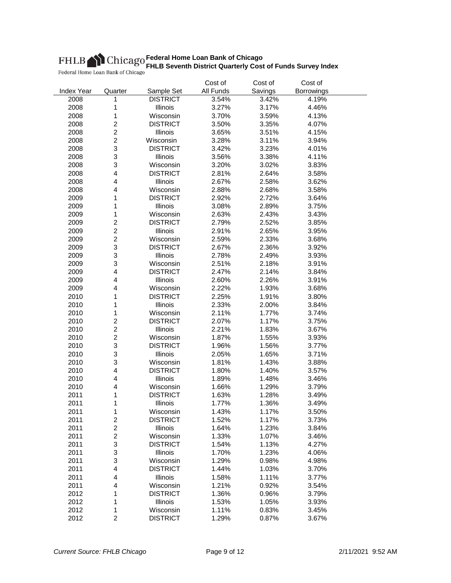|                   |                         |                 | Cost of   | Cost of        | Cost of    |  |
|-------------------|-------------------------|-----------------|-----------|----------------|------------|--|
| <b>Index Year</b> | Quarter                 | Sample Set      | All Funds | Savings        | Borrowings |  |
| 2008              | 1                       | <b>DISTRICT</b> | 3.54%     | 3.42%          | 4.19%      |  |
| 2008              | 1                       | Illinois        | 3.27%     | 3.17%          | 4.46%      |  |
| 2008              | $\mathbf 1$             | Wisconsin       | 3.70%     | 3.59%          | 4.13%      |  |
| 2008              | $\boldsymbol{2}$        | <b>DISTRICT</b> | 3.50%     | 3.35%          | 4.07%      |  |
| 2008              | $\boldsymbol{2}$        | Illinois        | 3.65%     | 3.51%          | 4.15%      |  |
| 2008              | $\overline{c}$          | Wisconsin       | 3.28%     | 3.11%          | 3.94%      |  |
| 2008              | 3                       | <b>DISTRICT</b> | 3.42%     | 3.23%          | 4.01%      |  |
| 2008              | 3                       | Illinois        | 3.56%     | 3.38%          | 4.11%      |  |
| 2008              | 3                       | Wisconsin       | 3.20%     | 3.02%          | 3.83%      |  |
| 2008              | $\overline{\mathbf{4}}$ | <b>DISTRICT</b> | 2.81%     | 2.64%          | 3.58%      |  |
| 2008              | $\overline{4}$          | Illinois        | 2.67%     | 2.58%          | 3.62%      |  |
| 2008              | $\overline{4}$          | Wisconsin       | 2.88%     | 2.68%          | 3.58%      |  |
| 2009              | 1                       | <b>DISTRICT</b> | 2.92%     | 2.72%          | 3.64%      |  |
| 2009              | 1                       | Illinois        | 3.08%     | 2.89%          | 3.75%      |  |
| 2009              | 1                       | Wisconsin       | 2.63%     | 2.43%          | 3.43%      |  |
| 2009              | $\boldsymbol{2}$        | <b>DISTRICT</b> | 2.79%     | 2.52%          | 3.85%      |  |
| 2009              | $\overline{c}$          | Illinois        | 2.91%     | 2.65%          | 3.95%      |  |
| 2009              | $\overline{c}$          | Wisconsin       | 2.59%     | 2.33%          | 3.68%      |  |
| 2009              | 3                       | <b>DISTRICT</b> | 2.67%     | 2.36%          | 3.92%      |  |
| 2009              | 3                       | Illinois        | 2.78%     | 2.49%          | 3.93%      |  |
| 2009              | 3                       | Wisconsin       | 2.51%     | 2.18%          | 3.91%      |  |
| 2009              | $\overline{\mathbf{4}}$ | <b>DISTRICT</b> | 2.47%     | 2.14%          | 3.84%      |  |
| 2009              | 4                       | Illinois        | 2.60%     | 2.26%          | 3.91%      |  |
| 2009              | $\overline{4}$          | Wisconsin       | 2.22%     | 1.93%          | 3.68%      |  |
| 2010              | 1                       | <b>DISTRICT</b> | 2.25%     | 1.91%          | 3.80%      |  |
| 2010              | 1                       | Illinois        | 2.33%     |                | 3.84%      |  |
| 2010              | $\mathbf 1$             | Wisconsin       | 2.11%     | 2.00%<br>1.77% | 3.74%      |  |
|                   | $\boldsymbol{2}$        |                 |           |                |            |  |
| 2010              |                         | <b>DISTRICT</b> | 2.07%     | 1.17%          | 3.75%      |  |
| 2010              | $\boldsymbol{2}$        | Illinois        | 2.21%     | 1.83%          | 3.67%      |  |
| 2010              | $\boldsymbol{2}$        | Wisconsin       | 1.87%     | 1.55%          | 3.93%      |  |
| 2010              | 3                       | <b>DISTRICT</b> | 1.96%     | 1.56%          | 3.77%      |  |
| 2010              | 3                       | Illinois        | 2.05%     | 1.65%          | 3.71%      |  |
| 2010              | 3                       | Wisconsin       | 1.81%     | 1.43%          | 3.88%      |  |
| 2010              | $\overline{\mathbf{4}}$ | <b>DISTRICT</b> | 1.80%     | 1.40%          | 3.57%      |  |
| 2010              | $\overline{\mathbf{4}}$ | Illinois        | 1.89%     | 1.48%          | 3.46%      |  |
| 2010              | $\overline{4}$          | Wisconsin       | 1.66%     | 1.29%          | 3.79%      |  |
| 2011              | 1                       | <b>DISTRICT</b> | 1.63%     | 1.28%          | 3.49%      |  |
| 2011              | 1                       | Illinois        | 1.77%     | 1.36%          | 3.49%      |  |
| 2011              | 1                       | Wisconsin       | 1.43%     | 1.17%          | 3.50%      |  |
| 2011              | $\overline{\mathbf{c}}$ | <b>DISTRICT</b> | 1.52%     | 1.17%          | 3.73%      |  |
| 2011              | $\boldsymbol{2}$        | Illinois        | 1.64%     | 1.23%          | 3.84%      |  |
| 2011              | $\overline{c}$          | Wisconsin       | 1.33%     | 1.07%          | 3.46%      |  |
| 2011              | 3                       | <b>DISTRICT</b> | 1.54%     | 1.13%          | 4.27%      |  |
| 2011              | 3                       | <b>Illinois</b> | 1.70%     | 1.23%          | 4.06%      |  |
| 2011              | 3                       | Wisconsin       | 1.29%     | 0.98%          | 4.98%      |  |
| 2011              | 4                       | <b>DISTRICT</b> | 1.44%     | 1.03%          | 3.70%      |  |
| 2011              | $\overline{4}$          | Illinois        | 1.58%     | 1.11%          | 3.77%      |  |
| 2011              | $\overline{4}$          | Wisconsin       | 1.21%     | 0.92%          | 3.54%      |  |
| 2012              | 1                       | <b>DISTRICT</b> | 1.36%     | 0.96%          | 3.79%      |  |
| 2012              | 1                       | Illinois        | 1.53%     | 1.05%          | 3.93%      |  |
| 2012              | $\mathbf 1$             | Wisconsin       | 1.11%     | 0.83%          | 3.45%      |  |
| 2012              | $\overline{c}$          | <b>DISTRICT</b> | 1.29%     | 0.87%          | 3.67%      |  |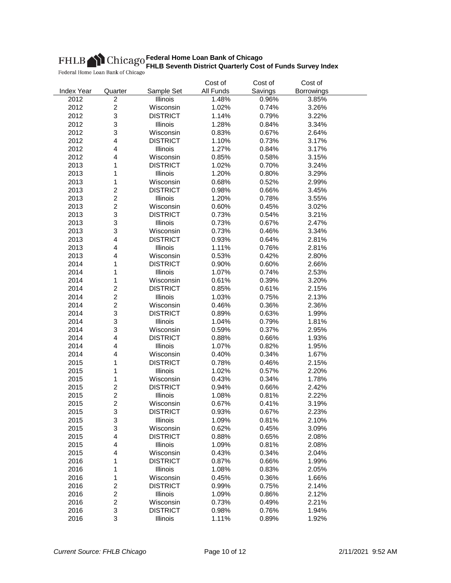|                   |                         |                 | Cost of   | Cost of | Cost of           |  |
|-------------------|-------------------------|-----------------|-----------|---------|-------------------|--|
| <b>Index Year</b> | Quarter                 | Sample Set      | All Funds | Savings | <b>Borrowings</b> |  |
| 2012              | $\overline{c}$          | Illinois        | 1.48%     | 0.96%   | 3.85%             |  |
| 2012              | $\overline{c}$          | Wisconsin       | 1.02%     | 0.74%   | 3.26%             |  |
| 2012              | 3                       | <b>DISTRICT</b> | 1.14%     | 0.79%   | 3.22%             |  |
| 2012              | 3                       | Illinois        | 1.28%     | 0.84%   | 3.34%             |  |
| 2012              | 3                       | Wisconsin       | 0.83%     | 0.67%   | 2.64%             |  |
| 2012              | 4                       | <b>DISTRICT</b> | 1.10%     | 0.73%   | 3.17%             |  |
| 2012              | 4                       | Illinois        | 1.27%     | 0.84%   | 3.17%             |  |
| 2012              | 4                       | Wisconsin       | 0.85%     | 0.58%   | 3.15%             |  |
| 2013              | 1                       | <b>DISTRICT</b> | 1.02%     | 0.70%   | 3.24%             |  |
| 2013              | 1                       | Illinois        | 1.20%     | 0.80%   | 3.29%             |  |
| 2013              | 1                       | Wisconsin       | 0.68%     | 0.52%   | 2.99%             |  |
| 2013              | $\overline{\mathbf{c}}$ | <b>DISTRICT</b> | 0.98%     | 0.66%   | 3.45%             |  |
| 2013              | $\overline{c}$          | Illinois        | 1.20%     | 0.78%   | 3.55%             |  |
| 2013              | $\overline{c}$          | Wisconsin       | 0.60%     | 0.45%   | 3.02%             |  |
| 2013              | 3                       | <b>DISTRICT</b> | 0.73%     | 0.54%   | 3.21%             |  |
| 2013              | 3                       | Illinois        | 0.73%     | 0.67%   | 2.47%             |  |
| 2013              | 3                       | Wisconsin       | 0.73%     | 0.46%   | 3.34%             |  |
| 2013              | 4                       | <b>DISTRICT</b> | 0.93%     | 0.64%   | 2.81%             |  |
| 2013              | 4                       | Illinois        | 1.11%     | 0.76%   | 2.81%             |  |
| 2013              | 4                       | Wisconsin       | 0.53%     | 0.42%   | 2.80%             |  |
| 2014              | 1                       | <b>DISTRICT</b> | 0.90%     | 0.60%   | 2.66%             |  |
| 2014              | 1                       | Illinois        | 1.07%     | 0.74%   | 2.53%             |  |
| 2014              |                         | Wisconsin       | 0.61%     | 0.39%   | 3.20%             |  |
| 2014              | 1<br>$\overline{c}$     | <b>DISTRICT</b> | 0.85%     | 0.61%   | 2.15%             |  |
|                   | $\overline{c}$          |                 |           |         |                   |  |
| 2014              |                         | Illinois        | 1.03%     | 0.75%   | 2.13%             |  |
| 2014              | $\overline{c}$          | Wisconsin       | 0.46%     | 0.36%   | 2.36%             |  |
| 2014              | 3                       | <b>DISTRICT</b> | 0.89%     | 0.63%   | 1.99%             |  |
| 2014              | 3                       | Illinois        | 1.04%     | 0.79%   | 1.81%             |  |
| 2014              | 3                       | Wisconsin       | 0.59%     | 0.37%   | 2.95%             |  |
| 2014              | 4                       | <b>DISTRICT</b> | 0.88%     | 0.66%   | 1.93%             |  |
| 2014              | 4                       | Illinois        | 1.07%     | 0.82%   | 1.95%             |  |
| 2014              | 4                       | Wisconsin       | 0.40%     | 0.34%   | 1.67%             |  |
| 2015              | 1                       | <b>DISTRICT</b> | 0.78%     | 0.46%   | 2.15%             |  |
| 2015              | 1                       | Illinois        | 1.02%     | 0.57%   | 2.20%             |  |
| 2015              | 1                       | Wisconsin       | 0.43%     | 0.34%   | 1.78%             |  |
| 2015              | $\overline{c}$          | <b>DISTRICT</b> | 0.94%     | 0.66%   | 2.42%             |  |
| 2015              | $\overline{c}$          | Illinois        | 1.08%     | 0.81%   | 2.22%             |  |
| 2015              | $\overline{c}$          | Wisconsin       | 0.67%     | 0.41%   | 3.19%             |  |
| 2015              | 3                       | <b>DISTRICT</b> | 0.93%     | 0.67%   | 2.23%             |  |
| 2015              | 3                       | Illinois        | 1.09%     | 0.81%   | 2.10%             |  |
| 2015              | 3                       | Wisconsin       | 0.62%     | 0.45%   | 3.09%             |  |
| 2015              | $\overline{\mathbf{4}}$ | <b>DISTRICT</b> | 0.88%     | 0.65%   | 2.08%             |  |
| 2015              | 4                       | Illinois        | 1.09%     | 0.81%   | 2.08%             |  |
| 2015              | 4                       | Wisconsin       | 0.43%     | 0.34%   | 2.04%             |  |
| 2016              | 1                       | <b>DISTRICT</b> | 0.87%     | 0.66%   | 1.99%             |  |
| 2016              | 1                       | Illinois        | 1.08%     | 0.83%   | 2.05%             |  |
| 2016              | 1                       | Wisconsin       | 0.45%     | 0.36%   | 1.66%             |  |
| 2016              | 2                       | <b>DISTRICT</b> | 0.99%     | 0.75%   | 2.14%             |  |
| 2016              | $\overline{\mathbf{c}}$ | Illinois        | 1.09%     | 0.86%   | 2.12%             |  |
| 2016              | $\overline{c}$          | Wisconsin       | 0.73%     | 0.49%   | 2.21%             |  |
| 2016              | 3                       | <b>DISTRICT</b> | 0.98%     | 0.76%   | 1.94%             |  |
| 2016              | 3                       | Illinois        | 1.11%     | 0.89%   | 1.92%             |  |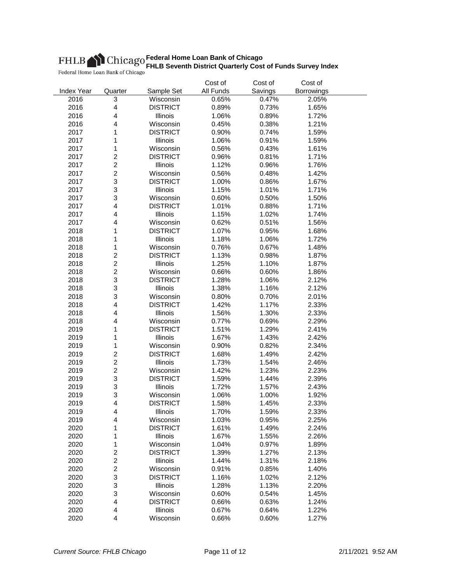|                   |                         |                 | Cost of   | Cost of | Cost of           |  |
|-------------------|-------------------------|-----------------|-----------|---------|-------------------|--|
| <b>Index Year</b> | Quarter                 | Sample Set      | All Funds | Savings | <b>Borrowings</b> |  |
| 2016              | 3                       | Wisconsin       | 0.65%     | 0.47%   | 2.05%             |  |
| 2016              | $\overline{\mathbf{4}}$ | <b>DISTRICT</b> | 0.89%     | 0.73%   | 1.65%             |  |
| 2016              | $\overline{\mathbf{4}}$ | Illinois        | 1.06%     | 0.89%   | 1.72%             |  |
| 2016              | $\overline{4}$          | Wisconsin       | 0.45%     | 0.38%   | 1.21%             |  |
| 2017              | 1                       | <b>DISTRICT</b> | 0.90%     | 0.74%   | 1.59%             |  |
| 2017              | 1                       | Illinois        | 1.06%     | 0.91%   | 1.59%             |  |
| 2017              | 1                       | Wisconsin       | 0.56%     | 0.43%   | 1.61%             |  |
| 2017              | $\overline{c}$          | <b>DISTRICT</b> | 0.96%     | 0.81%   | 1.71%             |  |
| 2017              | $\overline{c}$          | Illinois        | 1.12%     | 0.96%   | 1.76%             |  |
| 2017              | $\overline{c}$          | Wisconsin       | 0.56%     | 0.48%   | 1.42%             |  |
| 2017              | 3                       | <b>DISTRICT</b> | 1.00%     | 0.86%   | 1.67%             |  |
| 2017              | 3                       | Illinois        | 1.15%     | 1.01%   | 1.71%             |  |
| 2017              | 3                       | Wisconsin       | 0.60%     | 0.50%   | 1.50%             |  |
| 2017              | $\overline{\mathbf{4}}$ | <b>DISTRICT</b> | 1.01%     | 0.88%   | 1.71%             |  |
| 2017              | $\overline{\mathbf{4}}$ | Illinois        | 1.15%     | 1.02%   | 1.74%             |  |
| 2017              | 4                       | Wisconsin       | 0.62%     | 0.51%   | 1.56%             |  |
| 2018              | 1                       | <b>DISTRICT</b> | 1.07%     | 0.95%   | 1.68%             |  |
| 2018              | 1                       | Illinois        | 1.18%     | 1.06%   | 1.72%             |  |
| 2018              | 1                       | Wisconsin       | 0.76%     | 0.67%   | 1.48%             |  |
| 2018              | $\overline{c}$          | <b>DISTRICT</b> | 1.13%     | 0.98%   | 1.87%             |  |
| 2018              | $\overline{c}$          | Illinois        | 1.25%     | 1.10%   | 1.87%             |  |
| 2018              | $\overline{c}$          | Wisconsin       | 0.66%     | 0.60%   | 1.86%             |  |
| 2018              | 3                       | <b>DISTRICT</b> | 1.28%     | 1.06%   | 2.12%             |  |
| 2018              | 3                       | Illinois        | 1.38%     | 1.16%   | 2.12%             |  |
| 2018              | 3                       | Wisconsin       | 0.80%     | 0.70%   | 2.01%             |  |
| 2018              | $\overline{\mathbf{4}}$ | <b>DISTRICT</b> | 1.42%     | 1.17%   | 2.33%             |  |
| 2018              | 4                       | Illinois        | 1.56%     | 1.30%   | 2.33%             |  |
|                   | 4                       |                 |           |         |                   |  |
| 2018              |                         | Wisconsin       | 0.77%     | 0.69%   | 2.29%             |  |
| 2019              | 1                       | <b>DISTRICT</b> | 1.51%     | 1.29%   | 2.41%             |  |
| 2019              | 1                       | Illinois        | 1.67%     | 1.43%   | 2.42%             |  |
| 2019              | 1                       | Wisconsin       | 0.90%     | 0.82%   | 2.34%             |  |
| 2019              | $\overline{c}$          | <b>DISTRICT</b> | 1.68%     | 1.49%   | 2.42%             |  |
| 2019              | $\overline{c}$          | Illinois        | 1.73%     | 1.54%   | 2.46%             |  |
| 2019              | $\overline{c}$          | Wisconsin       | 1.42%     | 1.23%   | 2.23%             |  |
| 2019              | 3                       | <b>DISTRICT</b> | 1.59%     | 1.44%   | 2.39%             |  |
| 2019              | 3                       | Illinois        | 1.72%     | 1.57%   | 2.43%             |  |
| 2019              | 3                       | Wisconsin       | 1.06%     | 1.00%   | 1.92%             |  |
| 2019              | 4                       | <b>DISTRICT</b> | 1.58%     | 1.45%   | 2.33%             |  |
| 2019              | $\overline{\mathbf{4}}$ | Illinois        | 1.70%     | 1.59%   | 2.33%             |  |
| 2019              | 4                       | Wisconsin       | 1.03%     | 0.95%   | 2.25%             |  |
| 2020              | 1                       | <b>DISTRICT</b> | 1.61%     | 1.49%   | 2.24%             |  |
| 2020              | 1                       | Illinois        | 1.67%     | 1.55%   | 2.26%             |  |
| 2020              | 1                       | Wisconsin       | 1.04%     | 0.97%   | 1.89%             |  |
| 2020              | $\overline{c}$          | <b>DISTRICT</b> | 1.39%     | 1.27%   | 2.13%             |  |
| 2020              | $\overline{c}$          | Illinois        | 1.44%     | 1.31%   | 2.18%             |  |
| 2020              | $\overline{c}$          | Wisconsin       | 0.91%     | 0.85%   | 1.40%             |  |
| 2020              | 3                       | <b>DISTRICT</b> | 1.16%     | 1.02%   | 2.12%             |  |
| 2020              | 3                       | <b>Illinois</b> | 1.28%     | 1.13%   | 2.20%             |  |
| 2020              | 3                       | Wisconsin       | 0.60%     | 0.54%   | 1.45%             |  |
| 2020              | $\overline{\mathbf{4}}$ | <b>DISTRICT</b> | 0.66%     | 0.63%   | 1.24%             |  |
| 2020              | 4                       | Illinois        | 0.67%     | 0.64%   | 1.22%             |  |
| 2020              | 4                       | Wisconsin       | 0.66%     | 0.60%   | 1.27%             |  |